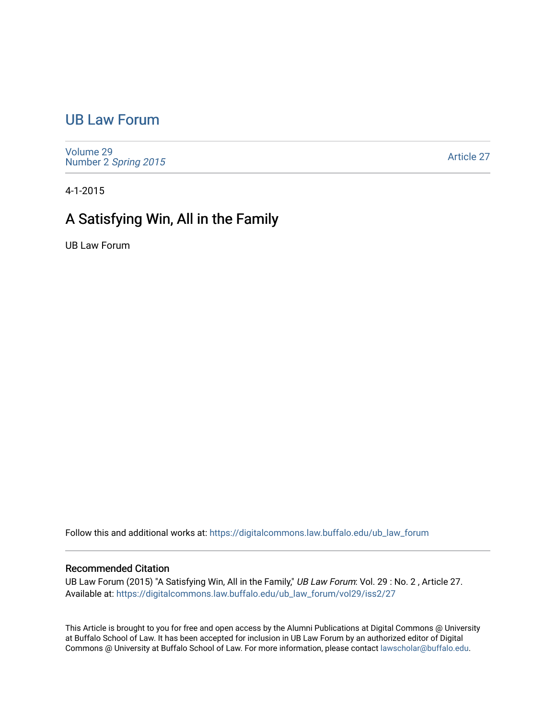## [UB Law Forum](https://digitalcommons.law.buffalo.edu/ub_law_forum)

[Volume 29](https://digitalcommons.law.buffalo.edu/ub_law_forum/vol29) Number 2 [Spring 2015](https://digitalcommons.law.buffalo.edu/ub_law_forum/vol29/iss2) 

[Article 27](https://digitalcommons.law.buffalo.edu/ub_law_forum/vol29/iss2/27) 

4-1-2015

## A Satisfying Win, All in the Family

UB Law Forum

Follow this and additional works at: [https://digitalcommons.law.buffalo.edu/ub\\_law\\_forum](https://digitalcommons.law.buffalo.edu/ub_law_forum?utm_source=digitalcommons.law.buffalo.edu%2Fub_law_forum%2Fvol29%2Fiss2%2F27&utm_medium=PDF&utm_campaign=PDFCoverPages) 

## Recommended Citation

UB Law Forum (2015) "A Satisfying Win, All in the Family," UB Law Forum: Vol. 29 : No. 2, Article 27. Available at: [https://digitalcommons.law.buffalo.edu/ub\\_law\\_forum/vol29/iss2/27](https://digitalcommons.law.buffalo.edu/ub_law_forum/vol29/iss2/27?utm_source=digitalcommons.law.buffalo.edu%2Fub_law_forum%2Fvol29%2Fiss2%2F27&utm_medium=PDF&utm_campaign=PDFCoverPages) 

This Article is brought to you for free and open access by the Alumni Publications at Digital Commons @ University at Buffalo School of Law. It has been accepted for inclusion in UB Law Forum by an authorized editor of Digital Commons @ University at Buffalo School of Law. For more information, please contact [lawscholar@buffalo.edu](mailto:lawscholar@buffalo.edu).